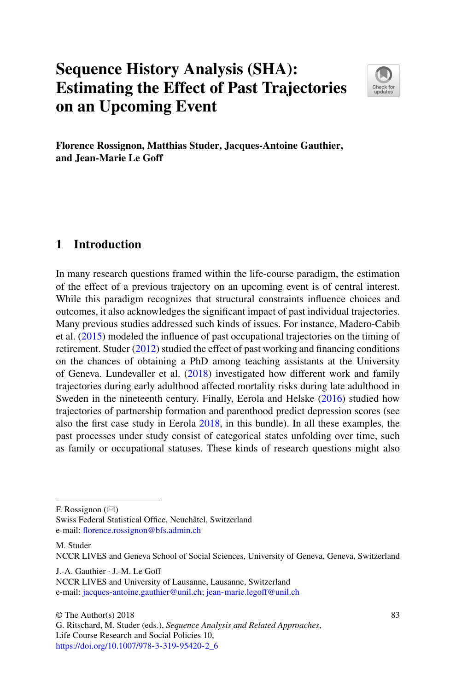# **Sequence History Analysis (SHA): Estimating the Effect of Past Trajectories on an Upcoming Event**



**Florence Rossignon, Matthias Studer, Jacques-Antoine Gauthier, and Jean-Marie Le Goff**

## **1 Introduction**

In many research questions framed within the life-course paradigm, the estimation of the effect of a previous trajectory on an upcoming event is of central interest. While this paradigm recognizes that structural constraints influence choices and outcomes, it also acknowledges the significant impact of past individual trajectories. Many previous studies addressed such kinds of issues. For instance, Madero-Cabib et al. [\(2015\)](#page-16-0) modeled the influence of past occupational trajectories on the timing of retirement. Studer [\(2012\)](#page-17-0) studied the effect of past working and financing conditions on the chances of obtaining a PhD among teaching assistants at the University of Geneva. Lundevaller et al. [\(2018\)](#page-16-1) investigated how different work and family trajectories during early adulthood affected mortality risks during late adulthood in Sweden in the nineteenth century. Finally, Eerola and Helske [\(2016\)](#page-16-2) studied how trajectories of partnership formation and parenthood predict depression scores (see also the first case study in Eerola [2018,](#page-16-3) in this bundle). In all these examples, the past processes under study consist of categorical states unfolding over time, such as family or occupational statuses. These kinds of research questions might also

F. Rossignon  $(\boxtimes)$ 

Swiss Federal Statistical Office, Neuchâtel, Switzerland e-mail: [florence.rossignon@bfs.admin.ch](mailto:florence.rossignon@bfs.admin.ch)

M. Studer

NCCR LIVES and Geneva School of Social Sciences, University of Geneva, Geneva, Switzerland

J.-A. Gauthier · J.-M. Le Goff NCCR LIVES and University of Lausanne, Lausanne, Switzerland e-mail: [jacques-antoine.gauthier@unil.ch;](mailto:jacques-antoine.gauthier@unil.ch) [jean-marie.legoff@unil.ch](mailto:jean-marie.legoff@unil.ch)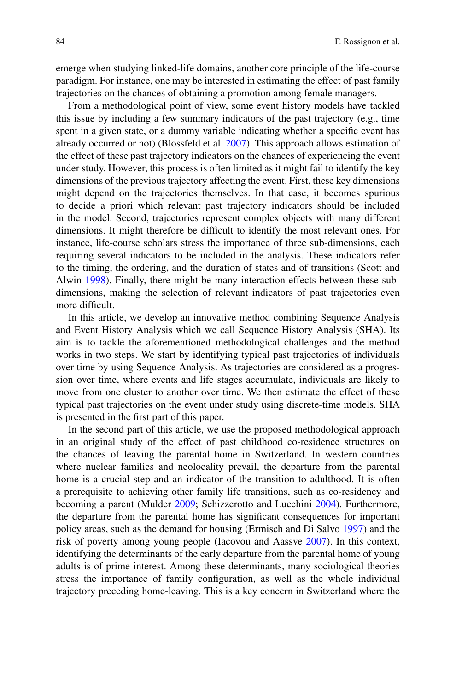emerge when studying linked-life domains, another core principle of the life-course paradigm. For instance, one may be interested in estimating the effect of past family trajectories on the chances of obtaining a promotion among female managers.

From a methodological point of view, some event history models have tackled this issue by including a few summary indicators of the past trajectory (e.g., time spent in a given state, or a dummy variable indicating whether a specific event has already occurred or not) (Blossfeld et al. [2007\)](#page-15-0). This approach allows estimation of the effect of these past trajectory indicators on the chances of experiencing the event under study. However, this process is often limited as it might fail to identify the key dimensions of the previous trajectory affecting the event. First, these key dimensions might depend on the trajectories themselves. In that case, it becomes spurious to decide a priori which relevant past trajectory indicators should be included in the model. Second, trajectories represent complex objects with many different dimensions. It might therefore be difficult to identify the most relevant ones. For instance, life-course scholars stress the importance of three sub-dimensions, each requiring several indicators to be included in the analysis. These indicators refer to the timing, the ordering, and the duration of states and of transitions (Scott and Alwin [1998\)](#page-17-1). Finally, there might be many interaction effects between these subdimensions, making the selection of relevant indicators of past trajectories even more difficult.

In this article, we develop an innovative method combining Sequence Analysis and Event History Analysis which we call Sequence History Analysis (SHA). Its aim is to tackle the aforementioned methodological challenges and the method works in two steps. We start by identifying typical past trajectories of individuals over time by using Sequence Analysis. As trajectories are considered as a progression over time, where events and life stages accumulate, individuals are likely to move from one cluster to another over time. We then estimate the effect of these typical past trajectories on the event under study using discrete-time models. SHA is presented in the first part of this paper.

In the second part of this article, we use the proposed methodological approach in an original study of the effect of past childhood co-residence structures on the chances of leaving the parental home in Switzerland. In western countries where nuclear families and neolocality prevail, the departure from the parental home is a crucial step and an indicator of the transition to adulthood. It is often a prerequisite to achieving other family life transitions, such as co-residency and becoming a parent (Mulder [2009;](#page-17-2) Schizzerotto and Lucchini [2004\)](#page-17-3). Furthermore, the departure from the parental home has significant consequences for important policy areas, such as the demand for housing (Ermisch and Di Salvo [1997\)](#page-16-4) and the risk of poverty among young people (Iacovou and Aassve [2007\)](#page-16-5). In this context, identifying the determinants of the early departure from the parental home of young adults is of prime interest. Among these determinants, many sociological theories stress the importance of family configuration, as well as the whole individual trajectory preceding home-leaving. This is a key concern in Switzerland where the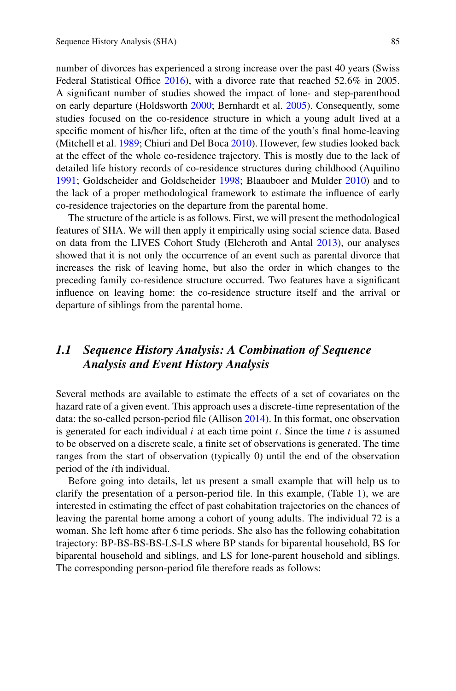number of divorces has experienced a strong increase over the past 40 years (Swiss Federal Statistical Office [2016\)](#page-17-4), with a divorce rate that reached 52.6% in 2005. A significant number of studies showed the impact of lone- and step-parenthood on early departure (Holdsworth [2000;](#page-16-6) Bernhardt et al. [2005\)](#page-15-1). Consequently, some studies focused on the co-residence structure in which a young adult lived at a specific moment of his/her life, often at the time of the youth's final home-leaving (Mitchell et al. [1989;](#page-17-5) Chiuri and Del Boca [2010\)](#page-15-2). However, few studies looked back at the effect of the whole co-residence trajectory. This is mostly due to the lack of detailed life history records of co-residence structures during childhood (Aquilino [1991;](#page-15-3) Goldscheider and Goldscheider [1998;](#page-16-7) Blaauboer and Mulder [2010\)](#page-15-4) and to the lack of a proper methodological framework to estimate the influence of early co-residence trajectories on the departure from the parental home.

The structure of the article is as follows. First, we will present the methodological features of SHA. We will then apply it empirically using social science data. Based on data from the LIVES Cohort Study (Elcheroth and Antal [2013\)](#page-16-8), our analyses showed that it is not only the occurrence of an event such as parental divorce that increases the risk of leaving home, but also the order in which changes to the preceding family co-residence structure occurred. Two features have a significant influence on leaving home: the co-residence structure itself and the arrival or departure of siblings from the parental home.

# *1.1 Sequence History Analysis: A Combination of Sequence Analysis and Event History Analysis*

Several methods are available to estimate the effects of a set of covariates on the hazard rate of a given event. This approach uses a discrete-time representation of the data: the so-called person-period file (Allison [2014\)](#page-15-5). In this format, one observation is generated for each individual *i* at each time point *t*. Since the time *t* is assumed to be observed on a discrete scale, a finite set of observations is generated. The time ranges from the start of observation (typically 0) until the end of the observation period of the *i*th individual.

Before going into details, let us present a small example that will help us to clarify the presentation of a person-period file. In this example, (Table [1\)](#page-3-0), we are interested in estimating the effect of past cohabitation trajectories on the chances of leaving the parental home among a cohort of young adults. The individual 72 is a woman. She left home after 6 time periods. She also has the following cohabitation trajectory: BP-BS-BS-BS-LS-LS where BP stands for biparental household, BS for biparental household and siblings, and LS for lone-parent household and siblings. The corresponding person-period file therefore reads as follows: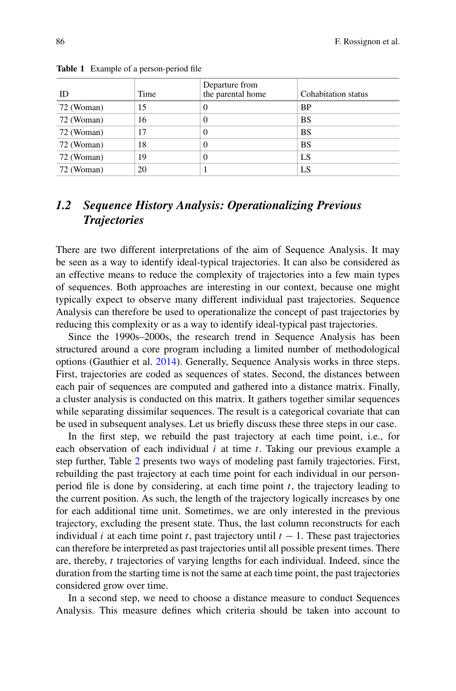<span id="page-3-0"></span>

| ID         | Time | Departure from<br>the parental home | Cohabitation status |
|------------|------|-------------------------------------|---------------------|
| 72 (Woman) | 15   | 0                                   | <b>BP</b>           |
| 72 (Woman) | 16   | $\boldsymbol{0}$                    | <b>BS</b>           |
| 72 (Woman) | 17   | $\Omega$                            | <b>BS</b>           |
| 72 (Woman) | 18   | $\overline{0}$                      | <b>BS</b>           |
| 72 (Woman) | 19   | $\overline{0}$                      | LS                  |
| 72 (Woman) | 20   |                                     | LS                  |

**Table 1** Example of a person-period file

## *1.2 Sequence History Analysis: Operationalizing Previous Trajectories*

There are two different interpretations of the aim of Sequence Analysis. It may be seen as a way to identify ideal-typical trajectories. It can also be considered as an effective means to reduce the complexity of trajectories into a few main types of sequences. Both approaches are interesting in our context, because one might typically expect to observe many different individual past trajectories. Sequence Analysis can therefore be used to operationalize the concept of past trajectories by reducing this complexity or as a way to identify ideal-typical past trajectories.

Since the 1990s–2000s, the research trend in Sequence Analysis has been structured around a core program including a limited number of methodological options (Gauthier et al. [2014\)](#page-16-9). Generally, Sequence Analysis works in three steps. First, trajectories are coded as sequences of states. Second, the distances between each pair of sequences are computed and gathered into a distance matrix. Finally, a cluster analysis is conducted on this matrix. It gathers together similar sequences while separating dissimilar sequences. The result is a categorical covariate that can be used in subsequent analyses. Let us briefly discuss these three steps in our case.

In the first step, we rebuild the past trajectory at each time point, i.e., for each observation of each individual *i* at time *t*. Taking our previous example a step further, Table [2](#page-4-0) presents two ways of modeling past family trajectories. First, rebuilding the past trajectory at each time point for each individual in our personperiod file is done by considering, at each time point  $t$ , the trajectory leading to the current position. As such, the length of the trajectory logically increases by one for each additional time unit. Sometimes, we are only interested in the previous trajectory, excluding the present state. Thus, the last column reconstructs for each individual *i* at each time point *t*, past trajectory until  $t - 1$ . These past trajectories can therefore be interpreted as past trajectories until all possible present times. There are, thereby, *t* trajectories of varying lengths for each individual. Indeed, since the duration from the starting time is not the same at each time point, the past trajectories considered grow over time.

In a second step, we need to choose a distance measure to conduct Sequences Analysis. This measure defines which criteria should be taken into account to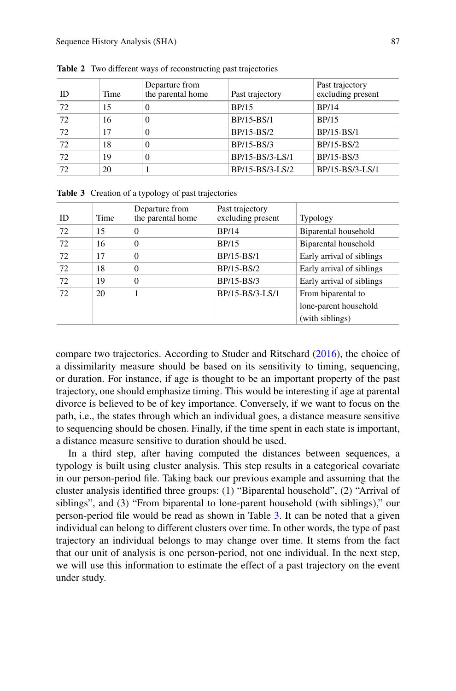<span id="page-4-0"></span>

| ID | Time | Departure from<br>the parental home | Past trajectory | Past trajectory<br>excluding present |
|----|------|-------------------------------------|-----------------|--------------------------------------|
| 72 | 15   |                                     | BP/15           | BP/14                                |
| 72 | 16   |                                     | $BP/15-BS/1$    | BP/15                                |
| 72 | 17   | 0                                   | $BP/15-BS/2$    | $BP/15-BS/1$                         |
| 72 | 18   | $\theta$                            | $BP/15-BS/3$    | $BP/15-BS/2$                         |
| 72 | 19   |                                     | BP/15-BS/3-LS/1 | $BP/15-BS/3$                         |
| 72 | 20   |                                     | BP/15-BS/3-LS/2 | BP/15-BS/3-LS/1                      |

**Table 2** Two different ways of reconstructing past trajectories

<span id="page-4-1"></span>

| ID | Time | Departure from<br>the parental home | Past trajectory<br>excluding present | Typology                  |
|----|------|-------------------------------------|--------------------------------------|---------------------------|
| 72 | 15   | $\Omega$                            | BP/14                                | Biparental household      |
| 72 | 16   | $\Omega$                            | <b>BP/15</b>                         | Biparental household      |
| 72 | 17   | $\Omega$                            | $BP/15-BS/1$                         | Early arrival of siblings |
| 72 | 18   | $\Omega$                            | $BP/15-BS/2$                         | Early arrival of siblings |
| 72 | 19   | $\theta$                            | $BP/15-BS/3$                         | Early arrival of siblings |
| 72 | 20   | 1                                   | BP/15-BS/3-LS/1                      | From biparental to        |
|    |      |                                     |                                      | lone-parent household     |
|    |      |                                     |                                      | (with siblings)           |

**Table 3** Creation of a typology of past trajectories

compare two trajectories. According to Studer and Ritschard [\(2016\)](#page-17-6), the choice of a dissimilarity measure should be based on its sensitivity to timing, sequencing, or duration. For instance, if age is thought to be an important property of the past trajectory, one should emphasize timing. This would be interesting if age at parental divorce is believed to be of key importance. Conversely, if we want to focus on the path, i.e., the states through which an individual goes, a distance measure sensitive to sequencing should be chosen. Finally, if the time spent in each state is important, a distance measure sensitive to duration should be used.

In a third step, after having computed the distances between sequences, a typology is built using cluster analysis. This step results in a categorical covariate in our person-period file. Taking back our previous example and assuming that the cluster analysis identified three groups: (1) "Biparental household", (2) "Arrival of siblings", and (3) "From biparental to lone-parent household (with siblings)," our person-period file would be read as shown in Table [3.](#page-4-1) It can be noted that a given individual can belong to different clusters over time. In other words, the type of past trajectory an individual belongs to may change over time. It stems from the fact that our unit of analysis is one person-period, not one individual. In the next step, we will use this information to estimate the effect of a past trajectory on the event under study.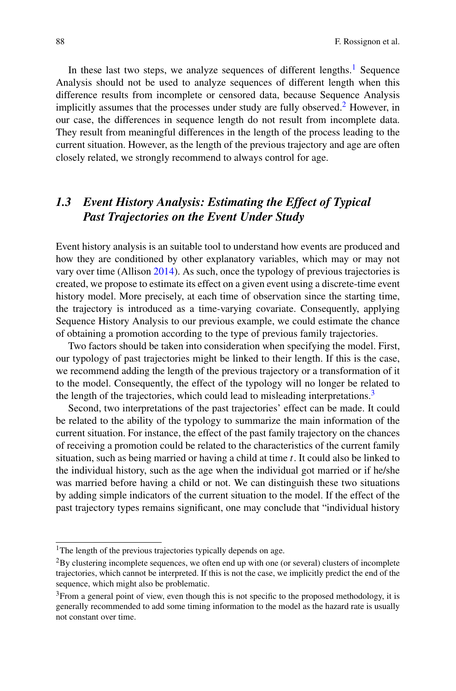In these last two steps, we analyze sequences of different lengths. $<sup>1</sup>$  $<sup>1</sup>$  $<sup>1</sup>$  Sequence</sup> Analysis should not be used to analyze sequences of different length when this difference results from incomplete or censored data, because Sequence Analysis implicitly assumes that the processes under study are fully observed.<sup>2</sup> However, in our case, the differences in sequence length do not result from incomplete data. They result from meaningful differences in the length of the process leading to the current situation. However, as the length of the previous trajectory and age are often closely related, we strongly recommend to always control for age.

# *1.3 Event History Analysis: Estimating the Effect of Typical Past Trajectories on the Event Under Study*

Event history analysis is an suitable tool to understand how events are produced and how they are conditioned by other explanatory variables, which may or may not vary over time (Allison [2014\)](#page-15-5). As such, once the typology of previous trajectories is created, we propose to estimate its effect on a given event using a discrete-time event history model. More precisely, at each time of observation since the starting time, the trajectory is introduced as a time-varying covariate. Consequently, applying Sequence History Analysis to our previous example, we could estimate the chance of obtaining a promotion according to the type of previous family trajectories.

Two factors should be taken into consideration when specifying the model. First, our typology of past trajectories might be linked to their length. If this is the case, we recommend adding the length of the previous trajectory or a transformation of it to the model. Consequently, the effect of the typology will no longer be related to the length of the trajectories, which could lead to misleading interpretations. $3$ 

Second, two interpretations of the past trajectories' effect can be made. It could be related to the ability of the typology to summarize the main information of the current situation. For instance, the effect of the past family trajectory on the chances of receiving a promotion could be related to the characteristics of the current family situation, such as being married or having a child at time *t*. It could also be linked to the individual history, such as the age when the individual got married or if he/she was married before having a child or not. We can distinguish these two situations by adding simple indicators of the current situation to the model. If the effect of the past trajectory types remains significant, one may conclude that "individual history

<span id="page-5-0"></span><sup>&</sup>lt;sup>1</sup>The length of the previous trajectories typically depends on age.

<span id="page-5-1"></span><sup>&</sup>lt;sup>2</sup>By clustering incomplete sequences, we often end up with one (or several) clusters of incomplete trajectories, which cannot be interpreted. If this is not the case, we implicitly predict the end of the sequence, which might also be problematic.

<span id="page-5-2"></span><sup>&</sup>lt;sup>3</sup>From a general point of view, even though this is not specific to the proposed methodology, it is generally recommended to add some timing information to the model as the hazard rate is usually not constant over time.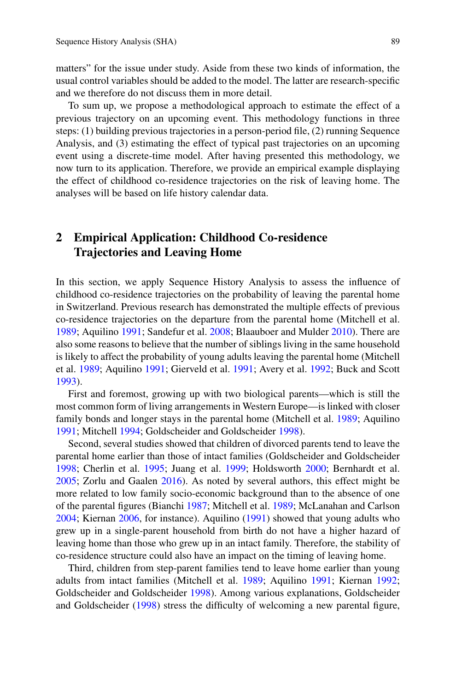matters" for the issue under study. Aside from these two kinds of information, the usual control variables should be added to the model. The latter are research-specific and we therefore do not discuss them in more detail.

To sum up, we propose a methodological approach to estimate the effect of a previous trajectory on an upcoming event. This methodology functions in three steps: (1) building previous trajectories in a person-period file, (2) running Sequence Analysis, and (3) estimating the effect of typical past trajectories on an upcoming event using a discrete-time model. After having presented this methodology, we now turn to its application. Therefore, we provide an empirical example displaying the effect of childhood co-residence trajectories on the risk of leaving home. The analyses will be based on life history calendar data.

## **2 Empirical Application: Childhood Co-residence Trajectories and Leaving Home**

In this section, we apply Sequence History Analysis to assess the influence of childhood co-residence trajectories on the probability of leaving the parental home in Switzerland. Previous research has demonstrated the multiple effects of previous co-residence trajectories on the departure from the parental home (Mitchell et al. [1989;](#page-17-5) Aquilino [1991;](#page-15-3) Sandefur et al. [2008;](#page-17-7) Blaauboer and Mulder [2010\)](#page-15-4). There are also some reasons to believe that the number of siblings living in the same household is likely to affect the probability of young adults leaving the parental home (Mitchell et al. [1989;](#page-17-5) Aquilino [1991;](#page-15-3) Gierveld et al. [1991;](#page-16-10) Avery et al. [1992;](#page-15-6) Buck and Scott [1993\)](#page-15-7).

First and foremost, growing up with two biological parents—which is still the most common form of living arrangements in Western Europe—is linked with closer family bonds and longer stays in the parental home (Mitchell et al. [1989;](#page-17-5) Aquilino [1991;](#page-15-3) Mitchell [1994;](#page-16-11) Goldscheider and Goldscheider [1998\)](#page-16-7).

Second, several studies showed that children of divorced parents tend to leave the parental home earlier than those of intact families (Goldscheider and Goldscheider [1998;](#page-16-7) Cherlin et al. [1995;](#page-15-8) Juang et al. [1999;](#page-16-12) Holdsworth [2000;](#page-16-6) Bernhardt et al. [2005;](#page-15-1) Zorlu and Gaalen [2016\)](#page-17-8). As noted by several authors, this effect might be more related to low family socio-economic background than to the absence of one of the parental figures (Bianchi [1987;](#page-15-9) Mitchell et al. [1989;](#page-17-5) McLanahan and Carlson [2004;](#page-16-13) Kiernan [2006,](#page-16-14) for instance). Aquilino [\(1991\)](#page-15-3) showed that young adults who grew up in a single-parent household from birth do not have a higher hazard of leaving home than those who grew up in an intact family. Therefore, the stability of co-residence structure could also have an impact on the timing of leaving home.

Third, children from step-parent families tend to leave home earlier than young adults from intact families (Mitchell et al. [1989;](#page-17-5) Aquilino [1991;](#page-15-3) Kiernan [1992;](#page-16-15) Goldscheider and Goldscheider [1998\)](#page-16-7). Among various explanations, Goldscheider and Goldscheider [\(1998\)](#page-16-7) stress the difficulty of welcoming a new parental figure,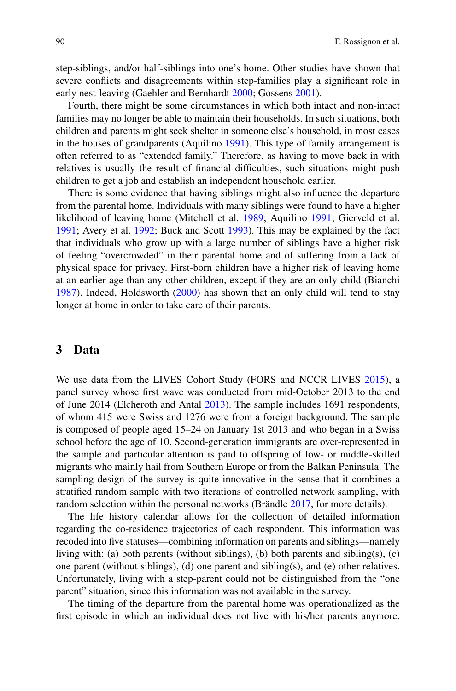step-siblings, and/or half-siblings into one's home. Other studies have shown that severe conflicts and disagreements within step-families play a significant role in early nest-leaving (Gaehler and Bernhardt [2000;](#page-16-16) Gossens [2001\)](#page-16-17).

Fourth, there might be some circumstances in which both intact and non-intact families may no longer be able to maintain their households. In such situations, both children and parents might seek shelter in someone else's household, in most cases in the houses of grandparents (Aquilino [1991\)](#page-15-3). This type of family arrangement is often referred to as "extended family." Therefore, as having to move back in with relatives is usually the result of financial difficulties, such situations might push children to get a job and establish an independent household earlier.

There is some evidence that having siblings might also influence the departure from the parental home. Individuals with many siblings were found to have a higher likelihood of leaving home (Mitchell et al. [1989;](#page-17-5) Aquilino [1991;](#page-15-3) Gierveld et al. [1991;](#page-16-10) Avery et al. [1992;](#page-15-6) Buck and Scott [1993\)](#page-15-7). This may be explained by the fact that individuals who grow up with a large number of siblings have a higher risk of feeling "overcrowded" in their parental home and of suffering from a lack of physical space for privacy. First-born children have a higher risk of leaving home at an earlier age than any other children, except if they are an only child (Bianchi [1987\)](#page-15-9). Indeed, Holdsworth [\(2000\)](#page-16-6) has shown that an only child will tend to stay longer at home in order to take care of their parents.

#### **3 Data**

We use data from the LIVES Cohort Study (FORS and NCCR LIVES [2015\)](#page-16-18), a panel survey whose first wave was conducted from mid-October 2013 to the end of June 2014 (Elcheroth and Antal [2013\)](#page-16-8). The sample includes 1691 respondents, of whom 415 were Swiss and 1276 were from a foreign background. The sample is composed of people aged 15–24 on January 1st 2013 and who began in a Swiss school before the age of 10. Second-generation immigrants are over-represented in the sample and particular attention is paid to offspring of low- or middle-skilled migrants who mainly hail from Southern Europe or from the Balkan Peninsula. The sampling design of the survey is quite innovative in the sense that it combines a stratified random sample with two iterations of controlled network sampling, with random selection within the personal networks (Brändle [2017,](#page-15-10) for more details).

The life history calendar allows for the collection of detailed information regarding the co-residence trajectories of each respondent. This information was recoded into five statuses—combining information on parents and siblings—namely living with: (a) both parents (without siblings), (b) both parents and sibling(s), (c) one parent (without siblings), (d) one parent and sibling(s), and (e) other relatives. Unfortunately, living with a step-parent could not be distinguished from the "one parent" situation, since this information was not available in the survey.

The timing of the departure from the parental home was operationalized as the first episode in which an individual does not live with his/her parents anymore.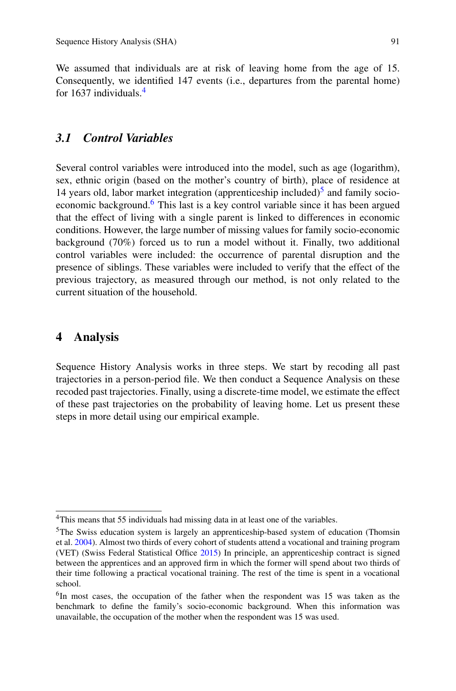We assumed that individuals are at risk of leaving home from the age of 15. Consequently, we identified 147 events (i.e., departures from the parental home) for 1637 individuals.[4](#page-8-0)

### *3.1 Control Variables*

Several control variables were introduced into the model, such as age (logarithm), sex, ethnic origin (based on the mother's country of birth), place of residence at 14 years old, labor market integration (apprentices hip included)<sup>[5](#page-8-1)</sup> and family socioeconomic background.<sup>6</sup> This last is a key control variable since it has been argued that the effect of living with a single parent is linked to differences in economic conditions. However, the large number of missing values for family socio-economic background (70%) forced us to run a model without it. Finally, two additional control variables were included: the occurrence of parental disruption and the presence of siblings. These variables were included to verify that the effect of the previous trajectory, as measured through our method, is not only related to the current situation of the household.

#### **4 Analysis**

Sequence History Analysis works in three steps. We start by recoding all past trajectories in a person-period file. We then conduct a Sequence Analysis on these recoded past trajectories. Finally, using a discrete-time model, we estimate the effect of these past trajectories on the probability of leaving home. Let us present these steps in more detail using our empirical example.

<span id="page-8-0"></span><sup>4</sup>This means that 55 individuals had missing data in at least one of the variables.

<span id="page-8-1"></span><sup>&</sup>lt;sup>5</sup>The Swiss education system is largely an apprenticeship-based system of education (Thomsin et al. [2004\)](#page-17-9). Almost two thirds of every cohort of students attend a vocational and training program (VET) (Swiss Federal Statistical Office [2015\)](#page-17-10) In principle, an apprenticeship contract is signed between the apprentices and an approved firm in which the former will spend about two thirds of their time following a practical vocational training. The rest of the time is spent in a vocational school.

<span id="page-8-2"></span><sup>&</sup>lt;sup>6</sup>In most cases, the occupation of the father when the respondent was 15 was taken as the benchmark to define the family's socio-economic background. When this information was unavailable, the occupation of the mother when the respondent was 15 was used.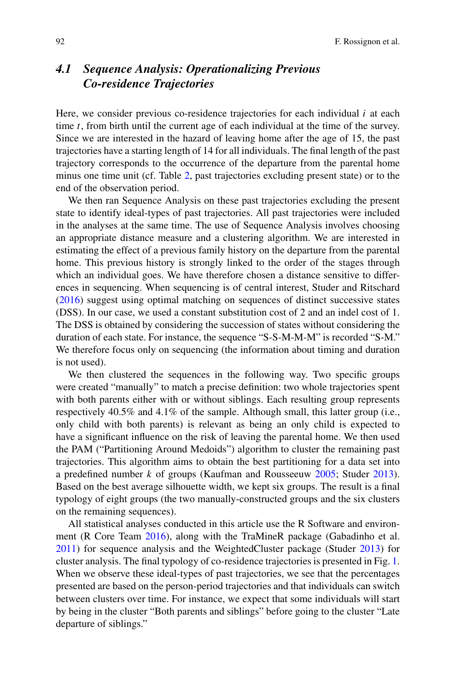# *4.1 Sequence Analysis: Operationalizing Previous Co-residence Trajectories*

Here, we consider previous co-residence trajectories for each individual *i* at each time *t*, from birth until the current age of each individual at the time of the survey. Since we are interested in the hazard of leaving home after the age of 15, the past trajectories have a starting length of 14 for all individuals. The final length of the past trajectory corresponds to the occurrence of the departure from the parental home minus one time unit (cf. Table [2,](#page-4-0) past trajectories excluding present state) or to the end of the observation period.

We then ran Sequence Analysis on these past trajectories excluding the present state to identify ideal-types of past trajectories. All past trajectories were included in the analyses at the same time. The use of Sequence Analysis involves choosing an appropriate distance measure and a clustering algorithm. We are interested in estimating the effect of a previous family history on the departure from the parental home. This previous history is strongly linked to the order of the stages through which an individual goes. We have therefore chosen a distance sensitive to differences in sequencing. When sequencing is of central interest, Studer and Ritschard [\(2016\)](#page-17-6) suggest using optimal matching on sequences of distinct successive states (DSS). In our case, we used a constant substitution cost of 2 and an indel cost of 1. The DSS is obtained by considering the succession of states without considering the duration of each state. For instance, the sequence "S-S-M-M-M" is recorded "S-M." We therefore focus only on sequencing (the information about timing and duration is not used).

We then clustered the sequences in the following way. Two specific groups were created "manually" to match a precise definition: two whole trajectories spent with both parents either with or without siblings. Each resulting group represents respectively 40.5% and 4.1% of the sample. Although small, this latter group (i.e., only child with both parents) is relevant as being an only child is expected to have a significant influence on the risk of leaving the parental home. We then used the PAM ("Partitioning Around Medoids") algorithm to cluster the remaining past trajectories. This algorithm aims to obtain the best partitioning for a data set into a predefined number *k* of groups (Kaufman and Rousseeuw [2005;](#page-16-19) Studer [2013\)](#page-17-11). Based on the best average silhouette width, we kept six groups. The result is a final typology of eight groups (the two manually-constructed groups and the six clusters on the remaining sequences).

All statistical analyses conducted in this article use the R Software and environment (R Core Team [2016\)](#page-17-12), along with the TraMineR package (Gabadinho et al. [2011\)](#page-16-20) for sequence analysis and the WeightedCluster package (Studer [2013\)](#page-17-11) for cluster analysis. The final typology of co-residence trajectories is presented in Fig. [1.](#page-10-0) When we observe these ideal-types of past trajectories, we see that the percentages presented are based on the person-period trajectories and that individuals can switch between clusters over time. For instance, we expect that some individuals will start by being in the cluster "Both parents and siblings" before going to the cluster "Late departure of siblings."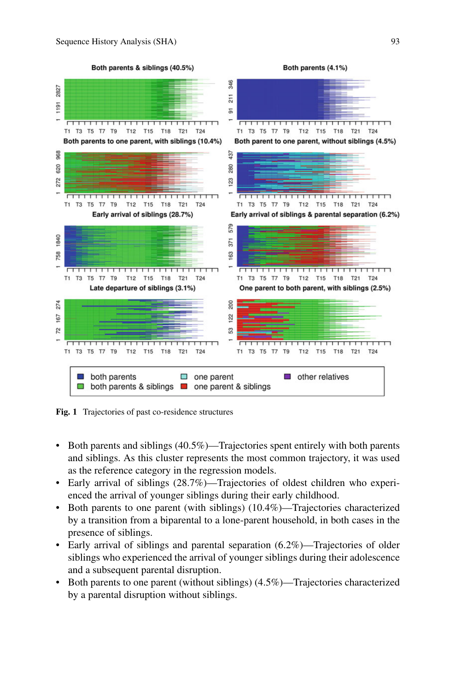

<span id="page-10-0"></span>**Fig. 1** Trajectories of past co-residence structures

- Both parents and siblings (40.5%)—Trajectories spent entirely with both parents and siblings. As this cluster represents the most common trajectory, it was used as the reference category in the regression models.
- Early arrival of siblings (28.7%)—Trajectories of oldest children who experienced the arrival of younger siblings during their early childhood.
- Both parents to one parent (with siblings) (10.4%)—Trajectories characterized by a transition from a biparental to a lone-parent household, in both cases in the presence of siblings.
- Early arrival of siblings and parental separation (6.2%)—Trajectories of older siblings who experienced the arrival of younger siblings during their adolescence and a subsequent parental disruption.
- Both parents to one parent (without siblings) (4.5%)—Trajectories characterized by a parental disruption without siblings.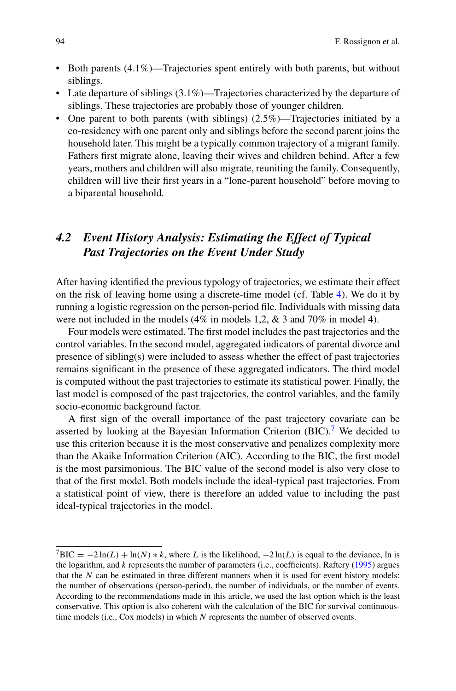- Both parents (4.1%)—Trajectories spent entirely with both parents, but without siblings.
- Late departure of siblings  $(3.1\%)$ —Trajectories characterized by the departure of siblings. These trajectories are probably those of younger children.
- One parent to both parents (with siblings) (2.5%)—Trajectories initiated by a co-residency with one parent only and siblings before the second parent joins the household later. This might be a typically common trajectory of a migrant family. Fathers first migrate alone, leaving their wives and children behind. After a few years, mothers and children will also migrate, reuniting the family. Consequently, children will live their first years in a "lone-parent household" before moving to a biparental household.

## *4.2 Event History Analysis: Estimating the Effect of Typical Past Trajectories on the Event Under Study*

After having identified the previous typology of trajectories, we estimate their effect on the risk of leaving home using a discrete-time model (cf. Table [4\)](#page-12-0). We do it by running a logistic regression on the person-period file. Individuals with missing data were not included in the models (4% in models 1,2, & 3 and 70% in model 4).

Four models were estimated. The first model includes the past trajectories and the control variables. In the second model, aggregated indicators of parental divorce and presence of sibling(s) were included to assess whether the effect of past trajectories remains significant in the presence of these aggregated indicators. The third model is computed without the past trajectories to estimate its statistical power. Finally, the last model is composed of the past trajectories, the control variables, and the family socio-economic background factor.

A first sign of the overall importance of the past trajectory covariate can be asserted by looking at the Bayesian Information Criterion  $(BIC)$ .<sup>[7](#page-11-0)</sup> We decided to use this criterion because it is the most conservative and penalizes complexity more than the Akaike Information Criterion (AIC). According to the BIC, the first model is the most parsimonious. The BIC value of the second model is also very close to that of the first model. Both models include the ideal-typical past trajectories. From a statistical point of view, there is therefore an added value to including the past ideal-typical trajectories in the model.

<span id="page-11-0"></span> ${}^{7}$ BIC =  $-2 \ln(L) + \ln(N) * k$ , where *L* is the likelihood,  $-2 \ln(L)$  is equal to the deviance, ln is the logarithm, and *k* represents the number of parameters (i.e., coefficients). Raftery [\(1995\)](#page-17-13) argues that the *N* can be estimated in three different manners when it is used for event history models: the number of observations (person-period), the number of individuals, or the number of events. According to the recommendations made in this article, we used the last option which is the least conservative. This option is also coherent with the calculation of the BIC for survival continuoustime models (i.e., Cox models) in which *N* represents the number of observed events.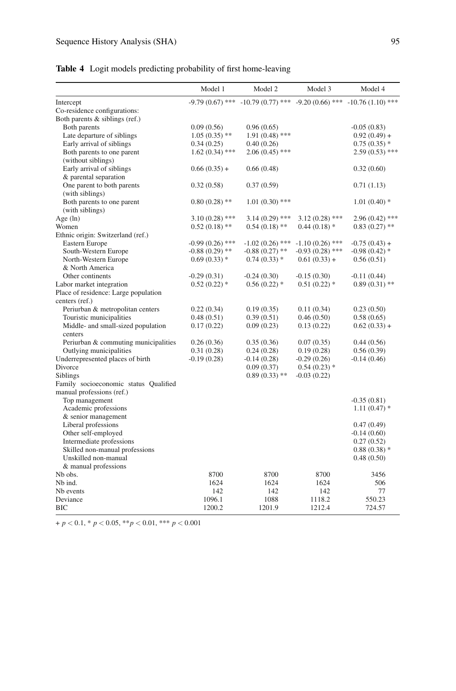<span id="page-12-0"></span>

|                                                    | Model 1           | Model 2                              | Model 3           | Model 4            |
|----------------------------------------------------|-------------------|--------------------------------------|-------------------|--------------------|
| Intercept                                          | $-9.79(0.67)$ *** | $-10.79(0.77)$ *** $-9.20(0.66)$ *** |                   | $-10.76(1.10)$ *** |
| Co-residence configurations:                       |                   |                                      |                   |                    |
| Both parents & siblings (ref.)                     |                   |                                      |                   |                    |
| Both parents                                       | 0.09(0.56)        | 0.96(0.65)                           |                   | $-0.05(0.83)$      |
| Late departure of siblings                         | $1.05(0.35)$ **   | $1.91(0.48)$ ***                     |                   | $0.92(0.49) +$     |
| Early arrival of siblings                          | 0.34(0.25)        | 0.40(0.26)                           |                   | $0.75(0.35)$ *     |
| Both parents to one parent<br>(without siblings)   | $1.62(0.34)$ ***  | $2.06(0.45)$ ***                     |                   | $2.59(0.53)$ ***   |
| Early arrival of siblings<br>& parental separation | $0.66(0.35) +$    | 0.66(0.48)                           |                   | 0.32(0.60)         |
| One parent to both parents<br>(with siblings)      | 0.32(0.58)        | 0.37(0.59)                           |                   | 0.71(1.13)         |
| Both parents to one parent<br>(with siblings)      | $0.80(0.28)$ **   | $1.01(0.30)$ ***                     |                   | $1.01(0.40)$ *     |
| Age $(ln)$                                         | $3.10(0.28)$ ***  | $3.14(0.29)$ ***                     | $3.12(0.28)$ ***  | $2.96(0.42)$ ***   |
| Women                                              | $0.52(0.18)$ **   | $0.54(0.18)$ **                      | $0.44(0.18)$ *    | $0.83(0.27)$ **    |
| Ethnic origin: Switzerland (ref.)                  |                   |                                      |                   |                    |
| Eastern Europe                                     | $-0.99(0.26)$ *** | $-1.02(0.26)$ ***                    | $-1.10(0.26)$ *** | $-0.75(0.43) +$    |
| South-Western Europe                               | $-0.88(0.29)$ **  | $-0.88(0.27)$ **                     | $-0.93(0.28)$ *** | $-0.98(0.42)$ *    |
| North-Western Europe                               | $0.69(0.33)$ *    | $0.74(0.33)$ *                       | $0.61(0.33) +$    | 0.56(0.51)         |
| & North America                                    |                   |                                      |                   |                    |
| Other continents                                   | $-0.29(0.31)$     | $-0.24(0.30)$                        | $-0.15(0.30)$     | $-0.11(0.44)$      |
| Labor market integration                           | $0.52(0.22)$ *    | $0.56(0.22)$ *                       | $0.51(0.22)$ *    | $0.89(0.31)$ **    |
| Place of residence: Large population               |                   |                                      |                   |                    |
| centers (ref.)                                     |                   |                                      |                   |                    |
| Periurban & metropolitan centers                   | 0.22(0.34)        | 0.19(0.35)                           | 0.11(0.34)        | 0.23(0.50)         |
| Touristic municipalities                           | 0.48(0.51)        | 0.39(0.51)                           | 0.46(0.50)        | 0.58(0.65)         |
| Middle- and small-sized population<br>centers      | 0.17(0.22)        | 0.09(0.23)                           | 0.13(0.22)        | $0.62(0.33) +$     |
| Periurban & commuting municipalities               | 0.26(0.36)        | 0.35(0.36)                           | 0.07(0.35)        | 0.44(0.56)         |
| Outlying municipalities                            | 0.31(0.28)        | 0.24(0.28)                           | 0.19(0.28)        | 0.56(0.39)         |
| Underrepresented places of birth                   | $-0.19(0.28)$     | $-0.14(0.28)$                        | $-0.29(0.26)$     | $-0.14(0.46)$      |
| Divorce                                            |                   | 0.09(0.37)                           | $0.54(0.23)$ *    |                    |
| Siblings                                           |                   | $0.89(0.33)$ **                      | $-0.03(0.22)$     |                    |
| Family socioeconomic status Qualified              |                   |                                      |                   |                    |
| manual professions (ref.)                          |                   |                                      |                   |                    |
| Top management                                     |                   |                                      |                   | $-0.35(0.81)$      |
| Academic professions                               |                   |                                      |                   | $1.11(0.47)$ *     |
| & senior management                                |                   |                                      |                   |                    |
| Liberal professions                                |                   |                                      |                   | 0.47(0.49)         |
| Other self-employed                                |                   |                                      |                   | $-0.14(0.60)$      |
| Intermediate professions                           |                   |                                      |                   | 0.27(0.52)         |
| Skilled non-manual professions                     |                   |                                      |                   | $0.88(0.38)$ *     |
| Unskilled non-manual                               |                   |                                      |                   | 0.48(0.50)         |
| & manual professions                               |                   |                                      |                   |                    |
| Nb obs.                                            | 8700              | 8700                                 | 8700              | 3456               |
| Nb ind.                                            | 1624              | 1624                                 | 1624              | 506                |
| Nb events                                          | 142               | 142                                  | 142               | 77                 |
| Deviance                                           | 1096.1            | 1088                                 | 1118.2            | 550.23             |
| ВIС                                                | 1200.2            | 1201.9                               | 1212.4            | 724.57             |

## **Table 4** Logit models predicting probability of first home-leaving

+  $p < 0.1$ , \*  $p < 0.05$ , \*\* $p < 0.01$ , \*\*\*  $p < 0.001$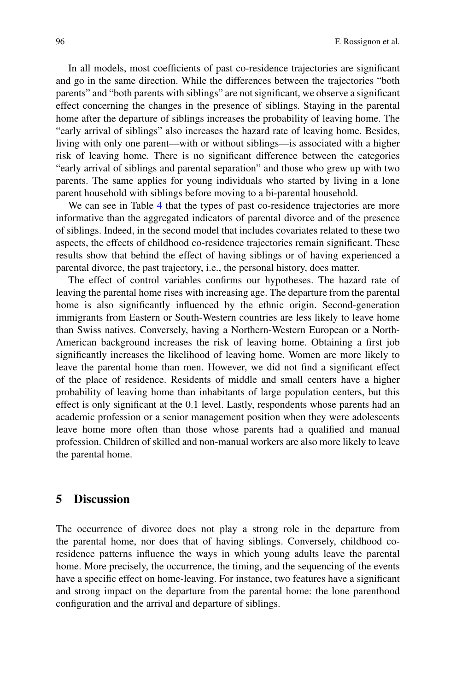In all models, most coefficients of past co-residence trajectories are significant and go in the same direction. While the differences between the trajectories "both parents" and "both parents with siblings" are not significant, we observe a significant effect concerning the changes in the presence of siblings. Staying in the parental home after the departure of siblings increases the probability of leaving home. The "early arrival of siblings" also increases the hazard rate of leaving home. Besides, living with only one parent—with or without siblings—is associated with a higher risk of leaving home. There is no significant difference between the categories "early arrival of siblings and parental separation" and those who grew up with two parents. The same applies for young individuals who started by living in a lone parent household with siblings before moving to a bi-parental household.

We can see in Table [4](#page-12-0) that the types of past co-residence trajectories are more informative than the aggregated indicators of parental divorce and of the presence of siblings. Indeed, in the second model that includes covariates related to these two aspects, the effects of childhood co-residence trajectories remain significant. These results show that behind the effect of having siblings or of having experienced a parental divorce, the past trajectory, i.e., the personal history, does matter.

The effect of control variables confirms our hypotheses. The hazard rate of leaving the parental home rises with increasing age. The departure from the parental home is also significantly influenced by the ethnic origin. Second-generation immigrants from Eastern or South-Western countries are less likely to leave home than Swiss natives. Conversely, having a Northern-Western European or a North-American background increases the risk of leaving home. Obtaining a first job significantly increases the likelihood of leaving home. Women are more likely to leave the parental home than men. However, we did not find a significant effect of the place of residence. Residents of middle and small centers have a higher probability of leaving home than inhabitants of large population centers, but this effect is only significant at the 0.1 level. Lastly, respondents whose parents had an academic profession or a senior management position when they were adolescents leave home more often than those whose parents had a qualified and manual profession. Children of skilled and non-manual workers are also more likely to leave the parental home.

#### **5 Discussion**

The occurrence of divorce does not play a strong role in the departure from the parental home, nor does that of having siblings. Conversely, childhood coresidence patterns influence the ways in which young adults leave the parental home. More precisely, the occurrence, the timing, and the sequencing of the events have a specific effect on home-leaving. For instance, two features have a significant and strong impact on the departure from the parental home: the lone parenthood configuration and the arrival and departure of siblings.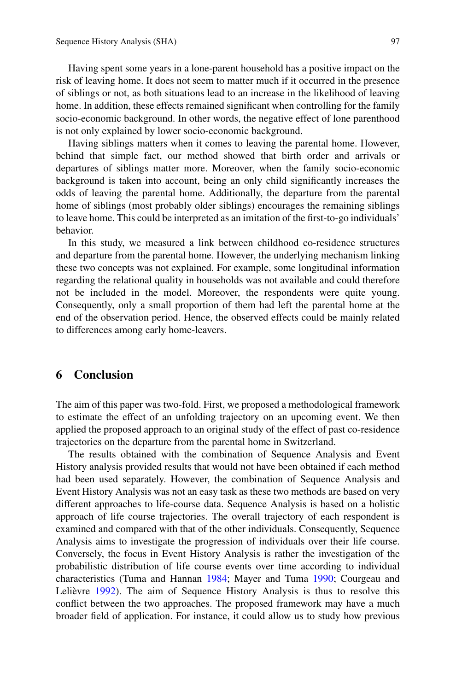Having spent some years in a lone-parent household has a positive impact on the risk of leaving home. It does not seem to matter much if it occurred in the presence of siblings or not, as both situations lead to an increase in the likelihood of leaving home. In addition, these effects remained significant when controlling for the family socio-economic background. In other words, the negative effect of lone parenthood is not only explained by lower socio-economic background.

Having siblings matters when it comes to leaving the parental home. However, behind that simple fact, our method showed that birth order and arrivals or departures of siblings matter more. Moreover, when the family socio-economic background is taken into account, being an only child significantly increases the odds of leaving the parental home. Additionally, the departure from the parental home of siblings (most probably older siblings) encourages the remaining siblings to leave home. This could be interpreted as an imitation of the first-to-go individuals' behavior.

In this study, we measured a link between childhood co-residence structures and departure from the parental home. However, the underlying mechanism linking these two concepts was not explained. For example, some longitudinal information regarding the relational quality in households was not available and could therefore not be included in the model. Moreover, the respondents were quite young. Consequently, only a small proportion of them had left the parental home at the end of the observation period. Hence, the observed effects could be mainly related to differences among early home-leavers.

#### **6 Conclusion**

The aim of this paper was two-fold. First, we proposed a methodological framework to estimate the effect of an unfolding trajectory on an upcoming event. We then applied the proposed approach to an original study of the effect of past co-residence trajectories on the departure from the parental home in Switzerland.

The results obtained with the combination of Sequence Analysis and Event History analysis provided results that would not have been obtained if each method had been used separately. However, the combination of Sequence Analysis and Event History Analysis was not an easy task as these two methods are based on very different approaches to life-course data. Sequence Analysis is based on a holistic approach of life course trajectories. The overall trajectory of each respondent is examined and compared with that of the other individuals. Consequently, Sequence Analysis aims to investigate the progression of individuals over their life course. Conversely, the focus in Event History Analysis is rather the investigation of the probabilistic distribution of life course events over time according to individual characteristics (Tuma and Hannan [1984;](#page-17-14) Mayer and Tuma [1990;](#page-16-21) Courgeau and Lelièvre [1992\)](#page-15-11). The aim of Sequence History Analysis is thus to resolve this conflict between the two approaches. The proposed framework may have a much broader field of application. For instance, it could allow us to study how previous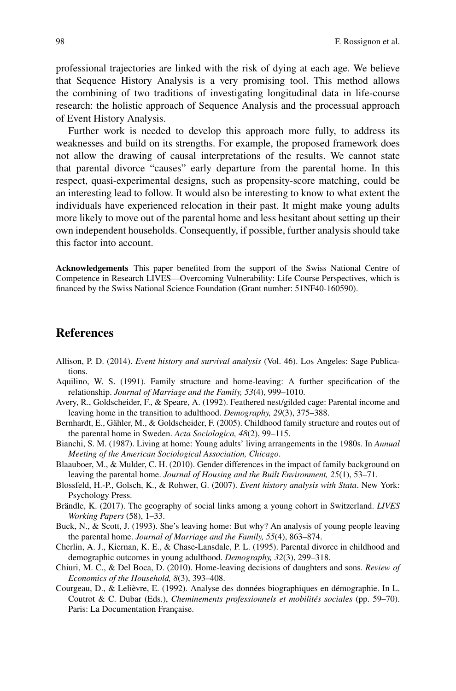professional trajectories are linked with the risk of dying at each age. We believe that Sequence History Analysis is a very promising tool. This method allows the combining of two traditions of investigating longitudinal data in life-course research: the holistic approach of Sequence Analysis and the processual approach of Event History Analysis.

Further work is needed to develop this approach more fully, to address its weaknesses and build on its strengths. For example, the proposed framework does not allow the drawing of causal interpretations of the results. We cannot state that parental divorce "causes" early departure from the parental home. In this respect, quasi-experimental designs, such as propensity-score matching, could be an interesting lead to follow. It would also be interesting to know to what extent the individuals have experienced relocation in their past. It might make young adults more likely to move out of the parental home and less hesitant about setting up their own independent households. Consequently, if possible, further analysis should take this factor into account.

**Acknowledgements** This paper benefited from the support of the Swiss National Centre of Competence in Research LIVES—Overcoming Vulnerability: Life Course Perspectives, which is financed by the Swiss National Science Foundation (Grant number: 51NF40-160590).

#### **References**

- <span id="page-15-5"></span>Allison, P. D. (2014). *Event history and survival analysis* (Vol. 46). Los Angeles: Sage Publications.
- <span id="page-15-3"></span>Aquilino, W. S. (1991). Family structure and home-leaving: A further specification of the relationship. *Journal of Marriage and the Family, 53*(4), 999–1010.
- <span id="page-15-6"></span>Avery, R., Goldscheider, F., & Speare, A. (1992). Feathered nest/gilded cage: Parental income and leaving home in the transition to adulthood. *Demography, 29*(3), 375–388.
- <span id="page-15-1"></span>Bernhardt, E., Gähler, M., & Goldscheider, F. (2005). Childhood family structure and routes out of the parental home in Sweden. *Acta Sociologica, 48*(2), 99–115.
- <span id="page-15-9"></span>Bianchi, S. M. (1987). Living at home: Young adults' living arrangements in the 1980s. In *Annual Meeting of the American Sociological Association, Chicago*.
- <span id="page-15-4"></span>Blaauboer, M., & Mulder, C. H. (2010). Gender differences in the impact of family background on leaving the parental home. *Journal of Housing and the Built Environment, 25*(1), 53–71.
- <span id="page-15-0"></span>Blossfeld, H.-P., Golsch, K., & Rohwer, G. (2007). *Event history analysis with Stata*. New York: Psychology Press.
- <span id="page-15-10"></span>Brändle, K. (2017). The geography of social links among a young cohort in Switzerland. *LIVES Working Papers* (58), 1–33.
- <span id="page-15-7"></span>Buck, N., & Scott, J. (1993). She's leaving home: But why? An analysis of young people leaving the parental home. *Journal of Marriage and the Family, 55*(4), 863–874.
- <span id="page-15-8"></span>Cherlin, A. J., Kiernan, K. E., & Chase-Lansdale, P. L. (1995). Parental divorce in childhood and demographic outcomes in young adulthood. *Demography, 32*(3), 299–318.
- <span id="page-15-2"></span>Chiuri, M. C., & Del Boca, D. (2010). Home-leaving decisions of daughters and sons. *Review of Economics of the Household, 8*(3), 393–408.
- <span id="page-15-11"></span>Courgeau, D., & Lelièvre, E. (1992). Analyse des données biographiques en démographie. In L. Coutrot & C. Dubar (Eds.), *Cheminements professionnels et mobilités sociales* (pp. 59–70). Paris: La Documentation Française.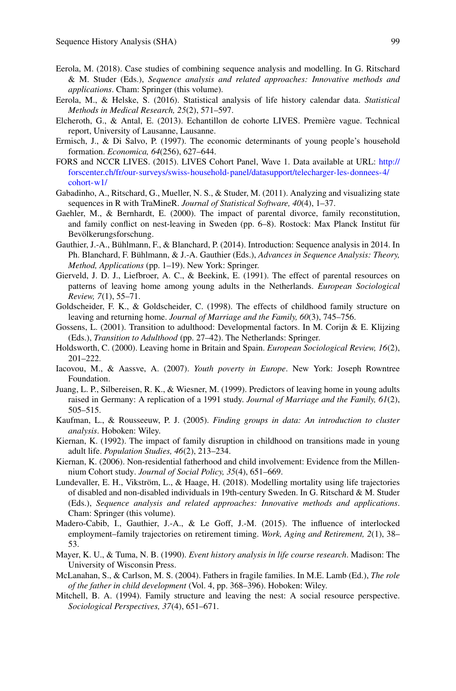- <span id="page-16-3"></span>Eerola, M. (2018). Case studies of combining sequence analysis and modelling. In G. Ritschard & M. Studer (Eds.), *Sequence analysis and related approaches: Innovative methods and applications*. Cham: Springer (this volume).
- <span id="page-16-2"></span>Eerola, M., & Helske, S. (2016). Statistical analysis of life history calendar data. *Statistical Methods in Medical Research, 25*(2), 571–597.
- <span id="page-16-8"></span>Elcheroth, G., & Antal, E. (2013). Echantillon de cohorte LIVES. Première vague. Technical report, University of Lausanne, Lausanne.
- <span id="page-16-4"></span>Ermisch, J., & Di Salvo, P. (1997). The economic determinants of young people's household formation. *Economica, 64*(256), 627–644.
- <span id="page-16-18"></span>FORS and NCCR LIVES. (2015). LIVES Cohort Panel, Wave 1. Data available at URL: [http://](http://forscenter.ch/fr/our-surveys/swiss-household-panel/datasupport/telecharger-les-donnees-4/cohort-w1/) [forscenter.ch/fr/our-surveys/swiss-household-panel/datasupport/telecharger-les-donnees-4/](http://forscenter.ch/fr/our-surveys/swiss-household-panel/datasupport/telecharger-les-donnees-4/cohort-w1/) [cohort-w1/](http://forscenter.ch/fr/our-surveys/swiss-household-panel/datasupport/telecharger-les-donnees-4/cohort-w1/)
- <span id="page-16-20"></span>Gabadinho, A., Ritschard, G., Mueller, N. S., & Studer, M. (2011). Analyzing and visualizing state sequences in R with TraMineR. *Journal of Statistical Software, 40*(4), 1–37.
- <span id="page-16-16"></span>Gaehler, M., & Bernhardt, E. (2000). The impact of parental divorce, family reconstitution, and family conflict on nest-leaving in Sweden (pp. 6–8). Rostock: Max Planck Institut für Bevölkerungsforschung.
- <span id="page-16-9"></span>Gauthier, J.-A., Bühlmann, F., & Blanchard, P. (2014). Introduction: Sequence analysis in 2014. In Ph. Blanchard, F. Bühlmann, & J.-A. Gauthier (Eds.), *Advances in Sequence Analysis: Theory, Method, Applications* (pp. 1–19). New York: Springer.
- <span id="page-16-10"></span>Gierveld, J. D. J., Liefbroer, A. C., & Beekink, E. (1991). The effect of parental resources on patterns of leaving home among young adults in the Netherlands. *European Sociological Review, 7*(1), 55–71.
- <span id="page-16-7"></span>Goldscheider, F. K., & Goldscheider, C. (1998). The effects of childhood family structure on leaving and returning home. *Journal of Marriage and the Family, 60*(3), 745–756.
- <span id="page-16-17"></span>Gossens, L. (2001). Transition to adulthood: Developmental factors. In M. Corijn & E. Klijzing (Eds.), *Transition to Adulthood* (pp. 27–42). The Netherlands: Springer.
- <span id="page-16-6"></span>Holdsworth, C. (2000). Leaving home in Britain and Spain. *European Sociological Review, 16*(2), 201–222.
- <span id="page-16-5"></span>Iacovou, M., & Aassve, A. (2007). *Youth poverty in Europe*. New York: Joseph Rowntree Foundation.
- <span id="page-16-12"></span>Juang, L. P., Silbereisen, R. K., & Wiesner, M. (1999). Predictors of leaving home in young adults raised in Germany: A replication of a 1991 study. *Journal of Marriage and the Family, 61*(2), 505–515.
- <span id="page-16-19"></span>Kaufman, L., & Rousseeuw, P. J. (2005). *Finding groups in data: An introduction to cluster analysis*. Hoboken: Wiley.
- <span id="page-16-15"></span>Kiernan, K. (1992). The impact of family disruption in childhood on transitions made in young adult life. *Population Studies, 46*(2), 213–234.
- <span id="page-16-14"></span>Kiernan, K. (2006). Non-residential fatherhood and child involvement: Evidence from the Millennium Cohort study. *Journal of Social Policy, 35*(4), 651–669.
- <span id="page-16-1"></span>Lundevaller, E. H., Vikström, L., & Haage, H. (2018). Modelling mortality using life trajectories of disabled and non-disabled individuals in 19th-century Sweden. In G. Ritschard & M. Studer (Eds.), *Sequence analysis and related approaches: Innovative methods and applications*. Cham: Springer (this volume).
- <span id="page-16-0"></span>Madero-Cabib, I., Gauthier, J.-A., & Le Goff, J.-M. (2015). The influence of interlocked employment–family trajectories on retirement timing. *Work, Aging and Retirement, 2*(1), 38– 53.
- <span id="page-16-21"></span>Mayer, K. U., & Tuma, N. B. (1990). *Event history analysis in life course research*. Madison: The University of Wisconsin Press.
- <span id="page-16-13"></span>McLanahan, S., & Carlson, M. S. (2004). Fathers in fragile families. In M.E. Lamb (Ed.), *The role of the father in child development* (Vol. 4, pp. 368–396). Hoboken: Wiley.
- <span id="page-16-11"></span>Mitchell, B. A. (1994). Family structure and leaving the nest: A social resource perspective. *Sociological Perspectives, 37*(4), 651–671.